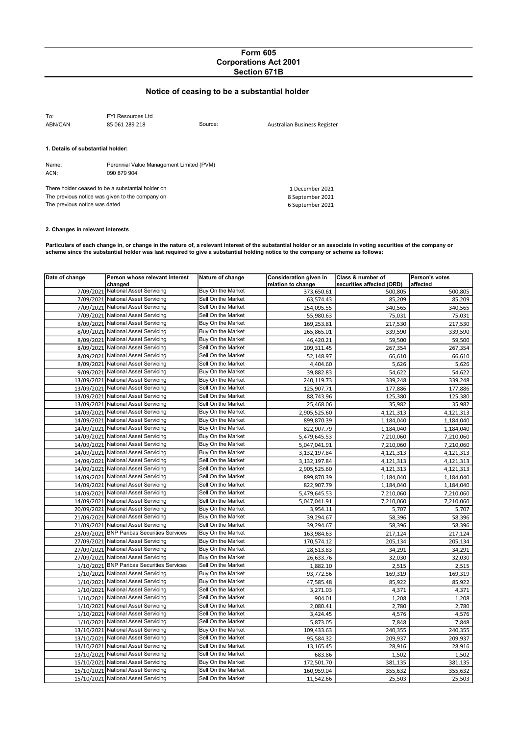## Form 605 Corporations Act 2001 Section 671B

# Notice of ceasing to be a substantial holder

| To:<br>ABN/CAN                                    | FYI Resources Ltd<br>85 061 289 218      | Source: | Australian Business Register |
|---------------------------------------------------|------------------------------------------|---------|------------------------------|
| 1. Details of substantial holder:                 |                                          |         |                              |
| Name:                                             | Perennial Value Management Limited (PVM) |         |                              |
| ACN:                                              | 090 879 904                              |         |                              |
| There holder ceased to be a substantial holder on |                                          |         | 1 December 2021              |
| The previous notice was given to the company on   |                                          |         | 8 September 2021             |
| The previous notice was dated                     |                                          |         | 6 September 2021             |

#### 2. Changes in relevant interests

Particulars of each change in, or change in the nature of, a relevant interest of the substantial holder or an associate in voting securities of the company or scheme since the substantial holder was last required to give a substantial holding notice to the company or scheme as follows:

| Date of change | Person whose relevant interest             | Nature of change   | Consideration given in | Class & number of         | Person's votes |
|----------------|--------------------------------------------|--------------------|------------------------|---------------------------|----------------|
|                | changed                                    |                    | relation to change     | securities affected (ORD) | affected       |
| 7/09/2021      | <b>National Asset Servicing</b>            | Buy On the Market  | 373,650.61             | 500,805                   | 500,805        |
| 7/09/2021      | National Asset Servicing                   | Sell On the Market | 63,574.43              | 85,209                    | 85,209         |
| 7/09/2021      | <b>National Asset Servicing</b>            | Sell On the Market | 254,095.55             | 340,565                   | 340,565        |
| 7/09/2021      | National Asset Servicing                   | Sell On the Market | 55,980.63              | 75,031                    | 75,031         |
| 8/09/2021      | National Asset Servicing                   | Buy On the Market  | 169,253.81             | 217,530                   | 217,530        |
|                | 8/09/2021 National Asset Servicing         | Buy On the Market  | 265,865.01             | 339,590                   | 339,590        |
| 8/09/2021      | <b>National Asset Servicing</b>            | Buy On the Market  | 46,420.21              | 59,500                    | 59,500         |
|                | 8/09/2021 National Asset Servicing         | Sell On the Market | 209,311.45             | 267,354                   | 267,354        |
| 8/09/2021      | National Asset Servicing                   | Sell On the Market | 52,148.97              | 66,610                    | 66,610         |
|                | 8/09/2021 National Asset Servicing         | Sell On the Market | 4,404.60               | 5,626                     | 5,626          |
|                | 9/09/2021 National Asset Servicing         | Buy On the Market  | 39,882.83              | 54,622                    | 54,622         |
|                | 13/09/2021 National Asset Servicing        | Buy On the Market  | 240,119.73             | 339,248                   | 339,248        |
|                | 13/09/2021 National Asset Servicing        | Sell On the Market | 125,907.71             | 177,886                   | 177,886        |
|                | 13/09/2021 National Asset Servicing        | Sell On the Market | 88,743.96              | 125,380                   | 125,380        |
|                | 13/09/2021 National Asset Servicing        | Sell On the Market | 25,468.06              | 35,982                    | 35,982         |
|                | 14/09/2021 National Asset Servicing        | Buy On the Market  | 2,905,525.60           | 4,121,313                 | 4,121,313      |
| 14/09/2021     | <b>National Asset Servicing</b>            | Buy On the Market  | 899,870.39             | 1,184,040                 | 1,184,040      |
| 14/09/2021     | <b>National Asset Servicing</b>            | Buy On the Market  | 822,907.79             | 1,184,040                 | 1,184,040      |
| 14/09/2021     | National Asset Servicing                   | Buy On the Market  | 5,479,645.53           | 7,210,060                 | 7,210,060      |
| 14/09/2021     | National Asset Servicing                   | Buy On the Market  | 5,047,041.91           | 7,210,060                 | 7,210,060      |
| 14/09/2021     | National Asset Servicing                   | Buy On the Market  | 3,132,197.84           | 4,121,313                 | 4,121,313      |
|                | 14/09/2021 National Asset Servicing        | Sell On the Market | 3,132,197.84           | 4,121,313                 | 4,121,313      |
|                | 14/09/2021 National Asset Servicing        | Sell On the Market | 2,905,525.60           | 4,121,313                 | 4,121,313      |
| 14/09/2021     | National Asset Servicing                   | Sell On the Market | 899,870.39             | 1,184,040                 | 1,184,040      |
|                | 14/09/2021 National Asset Servicing        | Sell On the Market | 822,907.79             | 1,184,040                 | 1,184,040      |
| 14/09/2021     | National Asset Servicing                   | Sell On the Market | 5,479,645.53           | 7,210,060                 | 7,210,060      |
|                | 14/09/2021 National Asset Servicing        | Sell On the Market | 5,047,041.91           | 7,210,060                 | 7,210,060      |
|                | 20/09/2021 National Asset Servicing        | Buy On the Market  | 3,954.11               | 5,707                     | 5,707          |
|                | 21/09/2021 National Asset Servicing        | Buy On the Market  | 39,294.67              | 58,396                    | 58,396         |
|                | 21/09/2021 National Asset Servicing        | Sell On the Market | 39,294.67              | 58,396                    | 58,396         |
|                | 23/09/2021 BNP Paribas Securities Services | Buy On the Market  | 163,984.63             | 217,124                   | 217,124        |
|                | 27/09/2021 National Asset Servicing        | Buy On the Market  | 170,574.12             | 205,134                   | 205,134        |
|                | 27/09/2021 National Asset Servicing        | Buy On the Market  | 28,513.83              | 34,291                    | 34,291         |
|                | 27/09/2021 National Asset Servicing        | Buy On the Market  | 26,633.76              | 32,030                    | 32,030         |
| 1/10/2021      | <b>BNP Paribas Securities Services</b>     | Sell On the Market | 1,882.10               | 2,515                     | 2,515          |
| 1/10/2021      | National Asset Servicing                   | Buy On the Market  | 93,772.56              | 169,319                   | 169,319        |
| 1/10/2021      | National Asset Servicing                   | Buy On the Market  | 47,585.48              | 85,922                    | 85,922         |
| 1/10/2021      | National Asset Servicing                   | Sell On the Market | 3,271.03               | 4,371                     | 4,371          |
| 1/10/2021      | National Asset Servicing                   | Sell On the Market | 904.01                 | 1,208                     | 1,208          |
|                | 1/10/2021 National Asset Servicing         | Sell On the Market | 2,080.41               | 2,780                     | 2,780          |
| 1/10/2021      | National Asset Servicing                   | Sell On the Market | 3,424.45               | 4,576                     | 4,576          |
|                | 1/10/2021 National Asset Servicing         | Sell On the Market | 5,873.05               | 7,848                     | 7,848          |
| 13/10/2021     | National Asset Servicing                   | Buy On the Market  | 109,433.63             | 240,355                   | 240,355        |
|                | 13/10/2021 National Asset Servicing        | Sell On the Market | 95,584.32              | 209,937                   | 209,937        |
|                | 13/10/2021 National Asset Servicing        | Sell On the Market | 13,165.45              | 28,916                    | 28,916         |
|                | 13/10/2021 National Asset Servicing        | Sell On the Market | 683.86                 | 1,502                     | 1,502          |
|                | 15/10/2021 National Asset Servicing        | Buy On the Market  | 172,501.70             | 381,135                   | 381,135        |
|                | 15/10/2021 National Asset Servicing        | Sell On the Market | 160,959.04             | 355,632                   | 355,632        |
|                | 15/10/2021 National Asset Servicing        | Sell On the Market | 11,542.66              | 25,503                    | 25,503         |
|                |                                            |                    |                        |                           |                |